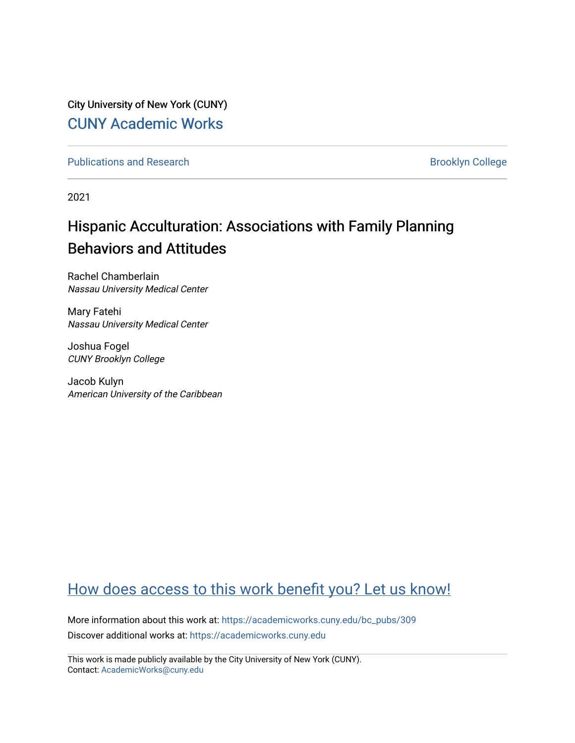City University of New York (CUNY) [CUNY Academic Works](https://academicworks.cuny.edu/) 

[Publications and Research](https://academicworks.cuny.edu/bc_pubs) **Brooklyn College** Brooklyn College

2021

# Hispanic Acculturation: Associations with Family Planning Behaviors and Attitudes

Rachel Chamberlain Nassau University Medical Center

Mary Fatehi Nassau University Medical Center

Joshua Fogel CUNY Brooklyn College

Jacob Kulyn American University of the Caribbean

### [How does access to this work benefit you? Let us know!](http://ols.cuny.edu/academicworks/?ref=https://academicworks.cuny.edu/bc_pubs/309)

More information about this work at: [https://academicworks.cuny.edu/bc\\_pubs/309](https://academicworks.cuny.edu/bc_pubs/309) Discover additional works at: [https://academicworks.cuny.edu](https://academicworks.cuny.edu/?)

This work is made publicly available by the City University of New York (CUNY). Contact: [AcademicWorks@cuny.edu](mailto:AcademicWorks@cuny.edu)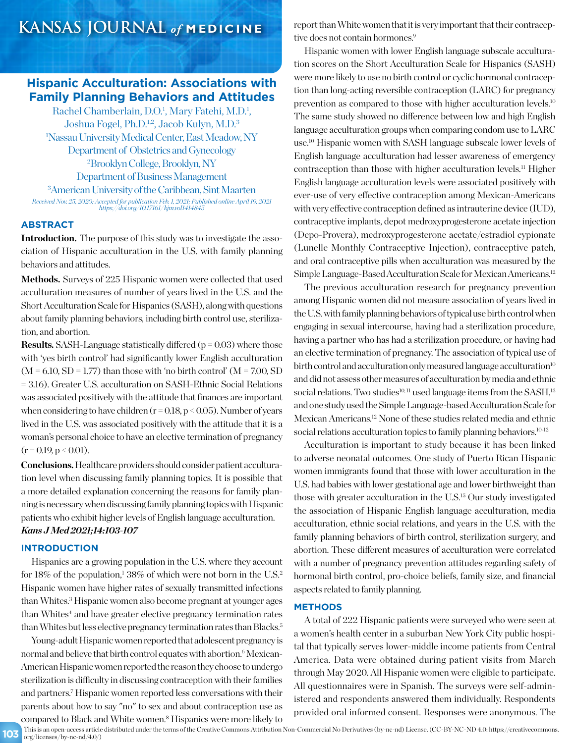### **KANSAS JOURNAL** *of* **MEDICINE**

### **Hispanic Acculturation: Associations with Family Planning Behaviors and Attitudes**

Rachel Chamberlain, D.O.<sup>1</sup>, Mary Fatehi, M.D.<sup>1</sup>, Joshua Fogel, Ph.D.<sup>1,2</sup>, Jacob Kulyn, M.D.<sup>3</sup> 1 Nassau University Medical Center, East Meadow, NY Department of Obstetrics and Gynecology 2 Brooklyn College, Brooklyn, NY Department of Business Management

American University of the Caribbean, Sint Maarten *Received Nov. 25, 2020; Accepted for publication Feb. 1, 2021; Published online April 19, 2021 https://doi.org/10.17161/kjm.vol1414845*

### **ABSTRACT**

**Introduction.** The purpose of this study was to investigate the association of Hispanic acculturation in the U.S. with family planning behaviors and attitudes.

Methods. Surveys of 225 Hispanic women were collected that used acculturation measures of number of years lived in the U.S. and the Short Acculturation Scale for Hispanics (SASH), along with questions about family planning behaviors, including birth control use, sterilization, and abortion.

**Results.** SASH-Language statistically differed (p = 0.03) where those with 'yes birth control' had significantly lower English acculturation  $(M = 6.10, SD = 1.77)$  than those with 'no birth control'  $(M = 7.00, SD)$ = 3.16). Greater U.S. acculturation on SASH-Ethnic Social Relations was associated positively with the attitude that finances are important when considering to have children ( $r = 0.18$ ,  $p < 0.05$ ). Number of years lived in the U.S. was associated positively with the attitude that it is a woman's personal choice to have an elective termination of pregnancy  $(r = 0.19, p \le 0.01)$ .

**Conclusions.**Healthcare providers should consider patient acculturation level when discussing family planning topics. It is possible that a more detailed explanation concerning the reasons for family planning is necessary when discussing family planning topics with Hispanic patients who exhibit higher levels of English language acculturation. *Kans J Med 2021;14:103-107*

### **INTRODUCTION**

Hispanics are a growing population in the U.S. where they account for 18% of the population,<sup>1</sup> 38% of which were not born in the U.S.<sup>2</sup> Hispanic women have higher rates of sexually transmitted infections than Whites.<sup>3</sup> Hispanic women also become pregnant at younger ages than Whites<sup>4</sup> and have greater elective pregnancy termination rates than Whites but less elective pregnancy termination rates than Blacks.5

Young-adult Hispanic women reported that adolescent pregnancy is normal and believe that birth control equates with abortion.<sup>6</sup> Mexican-American Hispanic women reported the reason they choose to undergo sterilization is difficulty in discussing contraception with their families and partners.7 Hispanic women reported less conversations with their parents about how to say "no" to sex and about contraception use as compared to Black and White women.<sup>8</sup> Hispanics were more likely to report than White women that it is very important that their contraceptive does not contain hormones.<sup>9</sup>

Hispanic women with lower English language subscale acculturation scores on the Short Acculturation Scale for Hispanics (SASH) were more likely to use no birth control or cyclic hormonal contraception than long-acting reversible contraception (LARC) for pregnancy prevention as compared to those with higher acculturation levels.<sup>10</sup> The same study showed no difference between low and high English language acculturation groups when comparing condom use to LARC use.10 Hispanic women with SASH language subscale lower levels of English language acculturation had lesser awareness of emergency contraception than those with higher acculturation levels.11 Higher English language acculturation levels were associated positively with ever-use of very effective contraception among Mexican-Americans with very effective contraception defined as intrauterine device (IUD), contraceptive implants, depot medroxyprogesterone acetate injection (Depo-Provera), medroxyprogesterone acetate/estradiol cypionate (Lunelle Monthly Contraceptive Injection), contraceptive patch, and oral contraceptive pills when acculturation was measured by the Simple Language-Based Acculturation Scale for Mexican Americans.12

The previous acculturation research for pregnancy prevention among Hispanic women did not measure association of years lived in the U.S. with family planning behaviors of typical use birth control when engaging in sexual intercourse, having had a sterilization procedure, having a partner who has had a sterilization procedure, or having had an elective termination of pregnancy. The association of typical use of birth control and acculturation only measured language acculturation $10$ and did not assess other measures of acculturation by media and ethnic social relations. Two studies<sup>10, 11</sup> used language items from the SASH,<sup>13</sup> and one study used the Simple Language-based Acculturation Scale for Mexican Americans.12 None of these studies related media and ethnic social relations acculturation topics to family planning behaviors.<sup>10-12</sup>

Acculturation is important to study because it has been linked to adverse neonatal outcomes. One study of Puerto Rican Hispanic women immigrants found that those with lower acculturation in the U.S. had babies with lower gestational age and lower birthweight than those with greater acculturation in the U.S.15 Our study investigated the association of Hispanic English language acculturation, media acculturation, ethnic social relations, and years in the U.S. with the family planning behaviors of birth control, sterilization surgery, and abortion. These different measures of acculturation were correlated with a number of pregnancy prevention attitudes regarding safety of hormonal birth control, pro-choice beliefs, family size, and financial aspects related to family planning.

#### **METHODS**

A total of 222 Hispanic patients were surveyed who were seen at a women's health center in a suburban New York City public hospital that typically serves lower-middle income patients from Central America. Data were obtained during patient visits from March through May 2020. All Hispanic women were eligible to participate. All questionnaires were in Spanish. The surveys were self-administered and respondents answered them individually. Respondents provided oral informed consent. Responses were anonymous. The

**103** This is an open-access article distributed under the terms of the Creative Commons Attribution Non-Commercial No Derivatives (by-nc-nd) License. (CC-BY-NC-ND 4.0: https://creativecommons. org/licenses/by-nc-nd/4.0/)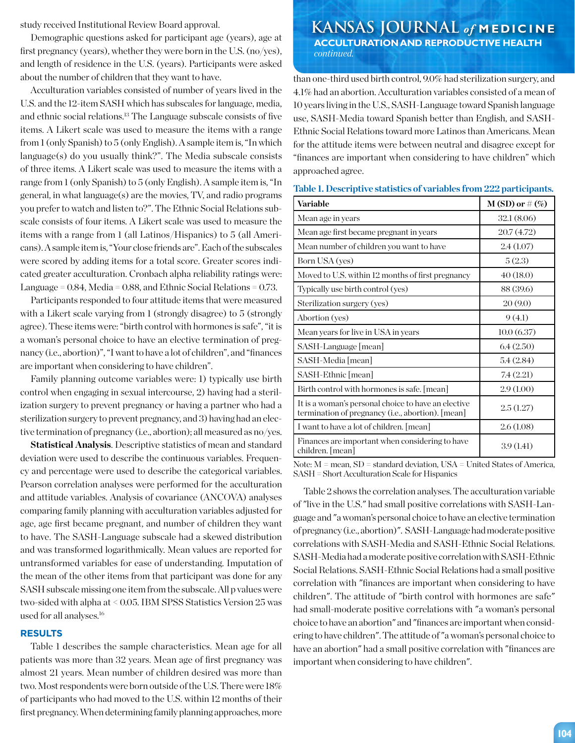Demographic questions asked for participant age (years), age at first pregnancy (years), whether they were born in the U.S. (no/yes), and length of residence in the U.S. (years). Participants were asked about the number of children that they want to have.

Acculturation variables consisted of number of years lived in the U.S. and the 12-item SASH which has subscales for language, media, and ethnic social relations.13 The Language subscale consists of five items. A Likert scale was used to measure the items with a range from 1 (only Spanish) to 5 (only English). A sample item is, "In which language(s) do you usually think?". The Media subscale consists of three items. A Likert scale was used to measure the items with a range from 1 (only Spanish) to 5 (only English). A sample item is, "In general, in what language $(s)$  are the movies, TV, and radio programs you prefer to watch and listen to?". The Ethnic Social Relations subscale consists of four items. A Likert scale was used to measure the items with a range from 1 (all Latinos/Hispanics) to 5 (all Americans). A sample item is, "Your close friends are". Each of the subscales were scored by adding items for a total score. Greater scores indicated greater acculturation. Cronbach alpha reliability ratings were: Language =  $0.84$ , Media =  $0.88$ , and Ethnic Social Relations =  $0.73$ .

Participants responded to four attitude items that were measured with a Likert scale varying from 1 (strongly disagree) to 5 (strongly agree). These items were: "birth control with hormones is safe", "it is a woman's personal choice to have an elective termination of pregnancy (i.e., abortion)", "I want to have a lot of children", and "finances are important when considering to have children".

Family planning outcome variables were: 1) typically use birth control when engaging in sexual intercourse, 2) having had a sterilization surgery to prevent pregnancy or having a partner who had a sterilization surgery to prevent pregnancy, and 3) having had an elective termination of pregnancy (i.e., abortion); all measured as no/yes.

**Statistical Analysis**. Descriptive statistics of mean and standard deviation were used to describe the continuous variables. Frequency and percentage were used to describe the categorical variables. Pearson correlation analyses were performed for the acculturation and attitude variables. Analysis of covariance (ANCOVA) analyses comparing family planning with acculturation variables adjusted for age, age first became pregnant, and number of children they want to have. The SASH-Language subscale had a skewed distribution and was transformed logarithmically. Mean values are reported for untransformed variables for ease of understanding. Imputation of the mean of the other items from that participant was done for any SASH subscale missing one item from the subscale. All p values were two-sided with alpha at < 0.05. IBM SPSS Statistics Version 25 was used for all analyses.16

### **RESULTS**

Table 1 describes the sample characteristics. Mean age for all patients was more than 32 years. Mean age of first pregnancy was almost 21 years. Mean number of children desired was more than two. Most respondents were born outside of the U.S. There were 18% of participants who had moved to the U.S. within 12 months of their first pregnancy. When determining family planning approaches, more

### **KANSAS JOURNAL** *of* **MEDICINE ACCULTURATION AND REPRODUCTIVE HEALTH**  *continued.*

than one-third used birth control, 9.0% had sterilization surgery, and 4.1% had an abortion. Acculturation variables consisted of a mean of 10 years living in the U.S., SASH-Language toward Spanish language use, SASH-Media toward Spanish better than English, and SASH-Ethnic Social Relations toward more Latinos than Americans. Mean for the attitude items were between neutral and disagree except for "finances are important when considering to have children" which approached agree.

| Variable                                                                                                          | $M(SD)$ or $\#(\%)$ |
|-------------------------------------------------------------------------------------------------------------------|---------------------|
| Mean age in years                                                                                                 | 32.1(8.06)          |
| Mean age first became pregnant in years                                                                           | 20.7(4.72)          |
| Mean number of children you want to have                                                                          | 2.4(1.07)           |
| Born USA (yes)                                                                                                    | 5(2.3)              |
| Moved to U.S. within 12 months of first pregnancy                                                                 | 40(18.0)            |
| Typically use birth control (yes)                                                                                 | 88 (39.6)           |
| Sterilization surgery (yes)                                                                                       | 20(9.0)             |
| Abortion (yes)                                                                                                    | 9(4.1)              |
| Mean years for live in USA in years                                                                               | 10.0(6.37)          |
| SASH-Language [mean]                                                                                              | 6.4(2.50)           |
| SASH-Media [mean]                                                                                                 | 5.4(2.84)           |
| SASH-Ethnic [mean]                                                                                                | 7.4(2.21)           |
| Birth control with hormones is safe. [mean]                                                                       | 2.9(1.00)           |
| It is a woman's personal choice to have an elective<br>termination of pregnancy ( <i>i.e.</i> , abortion). [mean] | 2.5(1.27)           |
| I want to have a lot of children. [mean]                                                                          | 2.6(1.08)           |
| Finances are important when considering to have<br>children. [mean]                                               | 3.9(1.41)           |

**Table 1. Descriptive statistics of variables from 222 participants.**

Note: M = mean, SD = standard deviation, USA = United States of America, SASH = Short Acculturation Scale for Hispanics

Table 2 shows the correlation analyses. The acculturation variable of "live in the U.S." had small positive correlations with SASH-Language and "a woman's personal choice to have an elective termination of pregnancy (i.e., abortion)". SASH-Language had moderate positive correlations with SASH-Media and SASH-Ethnic Social Relations. SASH-Media had a moderate positive correlation with SASH-Ethnic Social Relations. SASH-Ethnic Social Relations had a small positive correlation with "finances are important when considering to have children". The attitude of "birth control with hormones are safe" had small-moderate positive correlations with "a woman's personal choice to have an abortion" and "finances are important when considering to have children". The attitude of "a woman's personal choice to have an abortion" had a small positive correlation with "finances are important when considering to have children".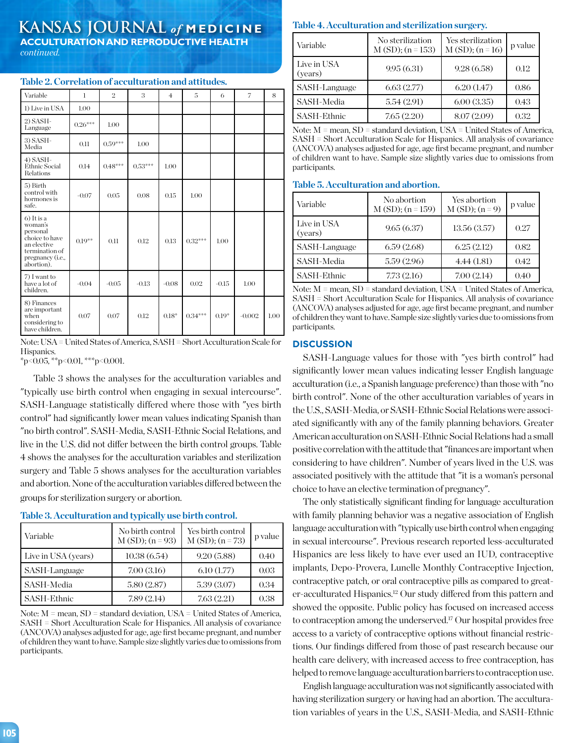# **KANSAS JOURNAL** *of* **MEDICINE**

**ACCULTURATION AND REPRODUCTIVE HEALTH** *continued.*

| Variable                                                                                                                  | 1         | $\overline{2}$ | 3                     | $\overline{4}$ | 5         | 6       | 7        | 8    |
|---------------------------------------------------------------------------------------------------------------------------|-----------|----------------|-----------------------|----------------|-----------|---------|----------|------|
| 1) Live in USA                                                                                                            | 1.00      |                |                       |                |           |         |          |      |
| 2) SASH-<br>Language                                                                                                      | $0.26***$ | 1.00           |                       |                |           |         |          |      |
| 3) SASH-<br>Media                                                                                                         | 0.11      | $0.59***$      | 1.00                  |                |           |         |          |      |
| $4)$ SASH-<br><b>Ethnic Social</b><br>Relations                                                                           | 0.14      | $0.48***$      | $0.53^{\ast\ast\ast}$ | 1.00           |           |         |          |      |
| 5) Birth<br>control with<br>hormones is<br>safe.                                                                          | $-0.07$   | 0.05           | 0.08                  | 0.15           | 1.00      |         |          |      |
| $6$ ) It is a<br>woman's<br>personal<br>choice to have<br>an elective<br>termination of<br>pregnancy (i.e.,<br>abortion). | $0.19**$  | 0.11           | 0.12                  | 0.13           | $0.32***$ | 1.00    |          |      |
| 7) I want to<br>have a lot of<br>children.                                                                                | $-0.04$   | $-0.05$        | $-0.13$               | $-0.08$        | 0.02      | $-0.15$ | 1.00     |      |
| 8) Finances<br>are important<br>when<br>considering to<br>have children.                                                  | 0.07      | 0.07           | 0.12                  | $0.18*$        | $0.34***$ | $0.19*$ | $-0.002$ | 1.00 |

**Table 2. Correlation of acculturation and attitudes.**

|            | Note: USA = United States of America, SASH = Short Acculturation Scale for |
|------------|----------------------------------------------------------------------------|
| Hispanics. |                                                                            |
|            |                                                                            |

 $*p<0.05$ ,  $*p<0.01$ ,  $**p<0.001$ .

 Table 3 shows the analyses for the acculturation variables and "typically use birth control when engaging in sexual intercourse". SASH-Language statistically differed where those with "yes birth control" had significantly lower mean values indicating Spanish than "no birth control". SASH-Media, SASH-Ethnic Social Relations, and live in the U.S. did not differ between the birth control groups. Table 4 shows the analyses for the acculturation variables and sterilization surgery and Table 5 shows analyses for the acculturation variables and abortion. None of the acculturation variables differed between the groups for sterilization surgery or abortion.

| Variable            | No birth control<br>$M(SD); (n = 93)$ | Yes birth control<br>$M(SD); (n=73)$ | p value |
|---------------------|---------------------------------------|--------------------------------------|---------|
| Live in USA (years) | 10.38(6.54)                           | 9.20(5.88)                           | 0.40    |
| SASH-Language       | 7.00(3.16)                            | 6.10(1.77)                           | 0.03    |
| SASH-Media          | 5.80(2.87)                            | 5.39(3.07)                           | 0.34    |
| SASH-Ethnic         | 7.89(2.14)                            | 7.63(2.21)                           | 0.38    |

### **Table 3. Acculturation and typically use birth control.**

Note: M = mean, SD = standard deviation, USA = United States of America, SASH = Short Acculturation Scale for Hispanics. All analysis of covariance (ANCOVA) analyses adjusted for age, age first became pregnant, and number of children they want to have. Sample size slightly varies due to omissions from participants.

### **Table 4. Acculturation and sterilization surgery.**

| Variable               | No sterilization<br>$M(SD); (n=153)$ | Yes sterilization<br>$M(SD); (n=16)$ | p value |
|------------------------|--------------------------------------|--------------------------------------|---------|
| Live in USA<br>(years) | 9.95(6.31)                           | 9.28(6.58)                           | 0.12    |
| SASH-Language          | 6.63(2.77)                           | 6.20(1.47)                           | 0.86    |
| SASH-Media             | 5.54(2.91)                           | 6.00(3.35)                           | 0.43    |
| SASH-Ethnic            | 7.65(2.20)                           | 8.07 (2.09)                          | 0.32    |

Note: M = mean, SD = standard deviation, USA = United States of America, SASH = Short Acculturation Scale for Hispanics. All analysis of covariance (ANCOVA) analyses adjusted for age, age first became pregnant, and number of children want to have. Sample size slightly varies due to omissions from participants.

#### **Table 5. Acculturation and abortion.**

| Variable               | No abortion<br>$M(SD); (n=159)$ | Yes abortion<br>$M(SD); (n=9)$ | p value |
|------------------------|---------------------------------|--------------------------------|---------|
| Live in USA<br>(years) | 9.65(6.37)                      | 13.56(3.57)                    | 0.27    |
| SASH-Language          | 6.59(2.68)                      | 6.25(2.12)                     | 0.82    |
| SASH-Media             | 5.59(2.96)                      | 4.44(1.81)                     | 0.42    |
| SASH-Ethnic            | 7.73(2.16)                      | 7.00(2.14)                     | 0.40    |

Note: M = mean, SD = standard deviation, USA = United States of America, SASH = Short Acculturation Scale for Hispanics. All analysis of covariance (ANCOVA) analyses adjusted for age, age first became pregnant, and number of children they want to have. Sample size slightly varies due to omissions from participants.

#### **DISCUSSION**

SASH-Language values for those with "yes birth control" had significantly lower mean values indicating lesser English language acculturation (i.e., a Spanish language preference) than those with "no birth control". None of the other acculturation variables of years in the U.S., SASH-Media, or SASH-Ethnic Social Relations were associated significantly with any of the family planning behaviors. Greater American acculturation on SASH-Ethnic Social Relations had a small positive correlation with the attitude that "finances are important when considering to have children". Number of years lived in the U.S. was associated positively with the attitude that "it is a woman's personal choice to have an elective termination of pregnancy".

The only statistically significant finding for language acculturation with family planning behavior was a negative association of English language acculturation with "typically use birth control when engaging in sexual intercourse". Previous research reported less-acculturated Hispanics are less likely to have ever used an IUD, contraceptive implants, Depo-Provera, Lunelle Monthly Contraceptive Injection, contraceptive patch, or oral contraceptive pills as compared to greater-acculturated Hispanics.12 Our study differed from this pattern and showed the opposite. Public policy has focused on increased access to contraception among the underserved.17 Our hospital provides free access to a variety of contraceptive options without financial restrictions. Our findings differed from those of past research because our health care delivery, with increased access to free contraception, has helped to remove language acculturation barriers to contraception use.

English language acculturation was not significantly associated with having sterilization surgery or having had an abortion. The acculturation variables of years in the U.S., SASH-Media, and SASH-Ethnic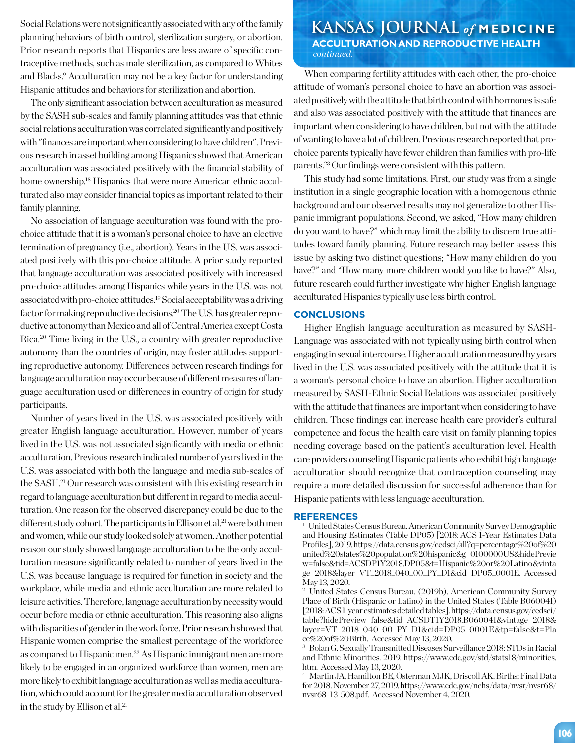**KANSAS JOURNAL** *of* **MEDICINE** planning behaviors of birth control, sterilization surgery, or abortion. Prior research reports that Hispanics are less aware of specific contraceptive methods, such as male sterilization, as compared to Whites and Blacks.<sup>9</sup> Acculturation may not be a key factor for understanding Hispanic attitudes and behaviors for sterilization and abortion.

The only significant association between acculturation as measured by the SASH sub-scales and family planning attitudes was that ethnic social relations acculturation was correlated significantly and positively with "finances are important when considering to have children". Previous research in asset building among Hispanics showed that American acculturation was associated positively with the financial stability of home ownership.<sup>18</sup> Hispanics that were more American ethnic acculturated also may consider financial topics as important related to their family planning.

No association of language acculturation was found with the prochoice attitude that it is a woman's personal choice to have an elective termination of pregnancy (i.e., abortion). Years in the U.S. was associated positively with this pro-choice attitude. A prior study reported that language acculturation was associated positively with increased pro-choice attitudes among Hispanics while years in the U.S. was not associated with pro-choice attitudes.19 Social acceptability was a driving factor for making reproductive decisions.20 The U.S. has greater reproductive autonomy than Mexico and all of Central America except Costa Rica.20 Time living in the U.S., a country with greater reproductive autonomy than the countries of origin, may foster attitudes supporting reproductive autonomy. Differences between research findings for language acculturation may occur because of different measures of language acculturation used or differences in country of origin for study participants.

Number of years lived in the U.S. was associated positively with greater English language acculturation. However, number of years lived in the U.S. was not associated significantly with media or ethnic acculturation. Previous research indicated number of years lived in the U.S. was associated with both the language and media sub-scales of the SASH.21 Our research was consistent with this existing research in regard to language acculturation but different in regard to media acculturation. One reason for the observed discrepancy could be due to the different study cohort. The participants in Ellison et al.<sup>21</sup> were both men and women, while our study looked solely at women. Another potential reason our study showed language acculturation to be the only acculturation measure significantly related to number of years lived in the U.S. was because language is required for function in society and the workplace, while media and ethnic acculturation are more related to leisure activities. Therefore, language acculturation by necessity would occur before media or ethnic acculturation. This reasoning also aligns with disparities of gender in the work force. Prior research showed that Hispanic women comprise the smallest percentage of the workforce as compared to Hispanic men.22 As Hispanic immigrant men are more likely to be engaged in an organized workforce than women, men are more likely to exhibit language acculturation as well as media acculturation, which could account for the greater media acculturation observed in the study by Ellison et al.<sup>21</sup>

# **ACCULTURATION AND REPRODUCTIVE HEALTH**  *continued.*

When comparing fertility attitudes with each other, the pro-choice attitude of woman's personal choice to have an abortion was associated positively with the attitude that birth control with hormones is safe and also was associated positively with the attitude that finances are important when considering to have children, but not with the attitude of wanting to have a lot of children. Previous research reported that prochoice parents typically have fewer children than families with pro-life parents.23 Our findings were consistent with this pattern.

This study had some limitations. First, our study was from a single institution in a single geographic location with a homogenous ethnic background and our observed results may not generalize to other Hispanic immigrant populations. Second, we asked, "How many children do you want to have?" which may limit the ability to discern true attitudes toward family planning. Future research may better assess this issue by asking two distinct questions; "How many children do you have?" and "How many more children would you like to have?" Also, future research could further investigate why higher English language acculturated Hispanics typically use less birth control.

### **CONCLUSIONS**

Higher English language acculturation as measured by SASH-Language was associated with not typically using birth control when engaging in sexual intercourse. Higher acculturation measured by years lived in the U.S. was associated positively with the attitude that it is a woman's personal choice to have an abortion. Higher acculturation measured by SASH-Ethnic Social Relations was associated positively with the attitude that finances are important when considering to have children. These findings can increase health care provider's cultural competence and focus the health care visit on family planning topics needing coverage based on the patient's acculturation level. Health care providers counseling Hispanic patients who exhibit high language acculturation should recognize that contraception counseling may require a more detailed discussion for successful adherence than for Hispanic patients with less language acculturation.

#### **REFERENCES**

<sup>1</sup> United States Census Bureau. American Community Survey Demographic and Housing Estimates (Table DP05) [2018: ACS 1-Year Estimates Data Profiles], 2019. https://data.census.gov/cedsci/all?q=percentage%20of%20 united%20states%20population%20hispanic&g=0100000US&hidePrevie w=false&tid=ACSDP1Y2018.DP05&t=Hispanic%20or%20Latino&vinta ge=2018&layer=VT\_2018\_040\_00\_PY\_D1&cid=DP05\_0001E. Accessed May 13, 2020.

<sup>2</sup> United States Census Bureau. (2019b). American Community Survey Place of Birth (Hispanic or Latino) in the United States (Table B06004I) [2018: ACS 1-year estimates detailed tables]. https://data.census.gov/cedsci/ table?hidePreview=false&tid=ACSDT1Y2018.B06004I&vintage=2018& layer=VT\_2018\_040\_00\_PY\_D1&cid=DP05\_0001E&tp=false&t=Pla ce%20of%20Birth. Accessed May 13, 2020.

<sup>3</sup> Bolan G. Sexually Transmitted Diseases Surveillance 2018: STDs in Racial and Ethnic Minorities. 2019. https://www.cdc.gov/std/stats18/minorities. htm. Accessed May 13, 2020.

<sup>4</sup> Martin JA, Hamilton BE, Osterman MJK, Driscoll AK. Births: Final Data for 2018. November 27, 2019. https://www.cdc.gov/nchs/data/nvsr/nvsr68/ nvsr68\_13-508.pdf. Accessed November 4, 2020.